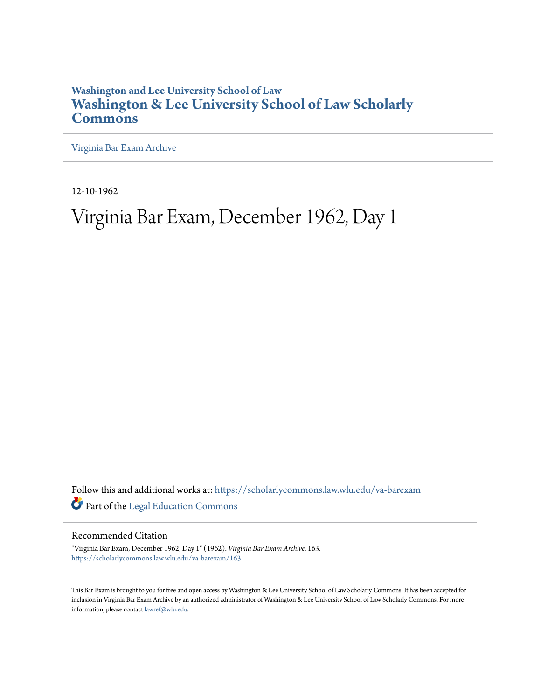## **Washington and Lee University School of Law [Washington & Lee University School of Law Scholarly](https://scholarlycommons.law.wlu.edu?utm_source=scholarlycommons.law.wlu.edu%2Fva-barexam%2F163&utm_medium=PDF&utm_campaign=PDFCoverPages) [Commons](https://scholarlycommons.law.wlu.edu?utm_source=scholarlycommons.law.wlu.edu%2Fva-barexam%2F163&utm_medium=PDF&utm_campaign=PDFCoverPages)**

[Virginia Bar Exam Archive](https://scholarlycommons.law.wlu.edu/va-barexam?utm_source=scholarlycommons.law.wlu.edu%2Fva-barexam%2F163&utm_medium=PDF&utm_campaign=PDFCoverPages)

12-10-1962

# Virginia Bar Exam, December 1962, Day 1

Follow this and additional works at: [https://scholarlycommons.law.wlu.edu/va-barexam](https://scholarlycommons.law.wlu.edu/va-barexam?utm_source=scholarlycommons.law.wlu.edu%2Fva-barexam%2F163&utm_medium=PDF&utm_campaign=PDFCoverPages) Part of the [Legal Education Commons](http://network.bepress.com/hgg/discipline/857?utm_source=scholarlycommons.law.wlu.edu%2Fva-barexam%2F163&utm_medium=PDF&utm_campaign=PDFCoverPages)

Recommended Citation

"Virginia Bar Exam, December 1962, Day 1" (1962). *Virginia Bar Exam Archive*. 163. [https://scholarlycommons.law.wlu.edu/va-barexam/163](https://scholarlycommons.law.wlu.edu/va-barexam/163?utm_source=scholarlycommons.law.wlu.edu%2Fva-barexam%2F163&utm_medium=PDF&utm_campaign=PDFCoverPages)

This Bar Exam is brought to you for free and open access by Washington & Lee University School of Law Scholarly Commons. It has been accepted for inclusion in Virginia Bar Exam Archive by an authorized administrator of Washington & Lee University School of Law Scholarly Commons. For more information, please contact [lawref@wlu.edu](mailto:lawref@wlu.edu).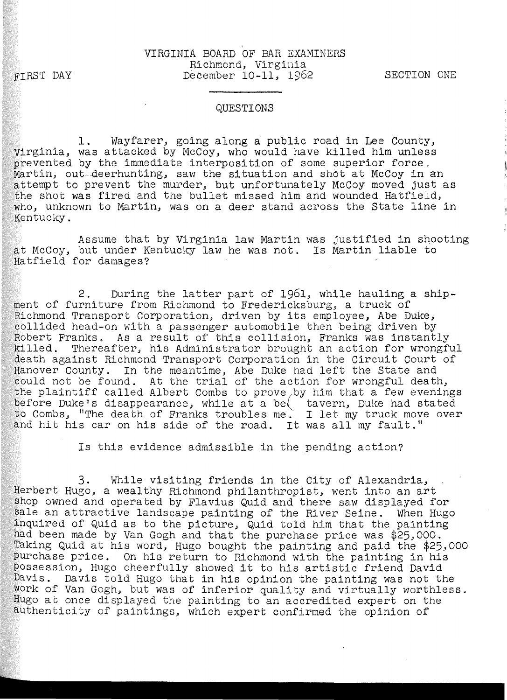#### VIRGINIA BOARD OF BAR EXAMINERS Richmond, Virginia December 10-11, 1962

SECTION ONE

#### QUESTIONS

1. Wayfarer, going along a public road in Lee County, Virginia, was attacked by McCoy, who would have killed him unless prevented by the immediate interposition of some superior force. Martin, out-deerhunting, saw the situation and shot at McCoy in an attempt to prevent the murder, but unfortunately McCoy moved just as the shot was fired and the bullet missed him and wounded Hatfield, who, unknown to Martin, was on a deer stand across the State line in Kentucky.

Assume that by Virginia law Martin was justified in shooting at McCoy, but under Kentucky law he was not. Is Martin liable to Hatfield for damages?

2. During the latter part of 1961, while hauling a shipment of furniture from Richmond to Fredericksburg, a truck of Richmond Transport Corporation, driven by its employee, Abe Duke, collided head-on with a passenger automobile then being driven by Robert Franks. As a result of this collision, Franks was instantly killed. Thereafter, his Administrator brought an action for wrongful death against Richmond Transport Corporation in the Circuit Court of Hanover County. In the meantime, Abe Duke had left the State and could not be found. At the trial of the action for wrongful death, the plaintiff called Albert Combs to prove by him that a few evenings before Duke's disappearance, while at a be tavern, Duke had stated to Combs, "The death of Franks troubles me. I let my truck move over and hit his car on his side of the road. It was all my fault."

Is this evidence admissible in the pending action?

3. While visiting friends in the City of Alexandria, Herbert Hugo, a wealthy Richmond philanthropist, went into an art shop owned and operated by Flavius Quid and there saw displayed for sale an attractive landscape painting of the River Seine. When Hugo inquired of Quid as to the picture, Quid told him that the painting had been made by Van Gogh and that the purchase price was \$25,000. Taking Quid at his word, Hugo bought the painting and paid the \$25,000 purchase price. On his return to Richmond with the painting in his Possession, Hugo cheerfully showed it to his artistic friend David Davis. Davis told Hugo that in his opinion the painting was not the work of Van Gogh, but was of inferior quality and virtually worthless. Hugo at once displayed the painting to an accredited expert on the authenticity of paintings, which expert confirmed the opinion of

### FIRST DAY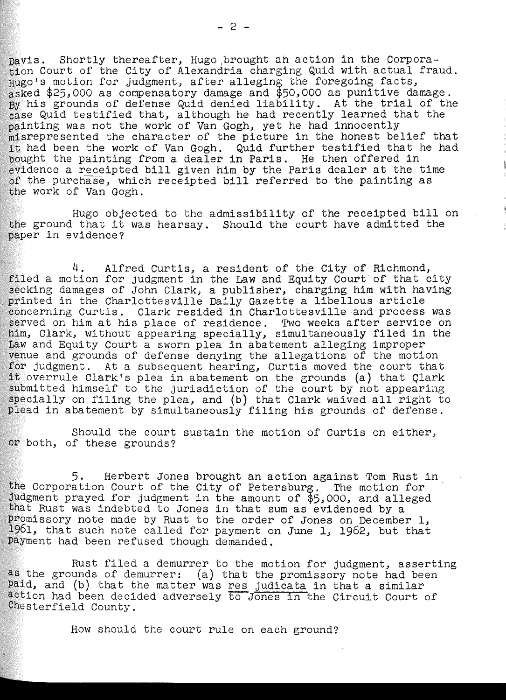pavis. Shortly thereafter, Hugo brought ah action in the Corporation Court of the City of Alexandria charging Quid with actual fraud. Hugo's motion for judgment, after alleging the foregoing facts, asked \$25,000 as compensatory damage and \$50,000 as punitive damage. By his grounds of defense Quid denied liability. At the trial of the case Quid testified that, although he had recently learned that the painting was not the work of Van Gogh, yet he had innocently misrepresented the character of the picture in the honest belief that it had been the work of Van Gogh. Quid further testified that he had bought the painting from a dealer in Paris. He then offered in evidence a receipted bill given him by the Paris dealer at the time of the purchase, which receipted bill referred to the painting as the work of Van Gogh.

Hugo objected to the admissibility of the receipted bill on the ground that it was hearsay. Should the court have admitted the paper in evidence?

4. Alfred Curtis, a resident of the City of Richmond, filed a motion for judgment in the Law and Equity Court of that city seeking damages of John Clark, a publisher, charging him with having printed in the Charlottesville Daily Gazette a libellous article Clark resided in Charlottesville and process was served on him at his place of residence. Two weeks after service on him, Clark, without appearing specially, simultaneously filed in the Law and Equity Court a sworn plea in abatement alleging improper venue and grounds of defense denying the allegations of the motion for judgment. At a subsequent hearing, Curtis moved the court that for judgment. At a subsequent hearing, Curtis moved the court that it overrule Clark's plea in abatement on the grounds (a) that Clark submitted himself to the jurisdiction of the court by not appearing specially on filing the plea, and (b) that Clark waived all right to plead in abatement by simultaneously filing his grounds of defense.

Should the court sustain the motion of Curtis on either, or both, of these grounds?

5. Herbert Jones brought an action against Tom Rust in the Corporation Court of the City of Petersburg. The motion for Judgment prayed for judgment in the amount of \$5,000, and alleged that Rust was indebted to Jones in that sum as evidenced by a Promissory note made by Rust to the order of Jones on December 1, 1961, that such note called for payment on June 1, 1962, but that payment had been refused though demanded.

Rust filed a demurrer to the motion for judgment, asserting as the grounds of demurrer: (a) that the promissory note had been paid, and (b) that the matter was res judicata in that a similar action had been decided adversely to Jones in the Circuit Court of Chesterfield County.

How should the court rule on each ground?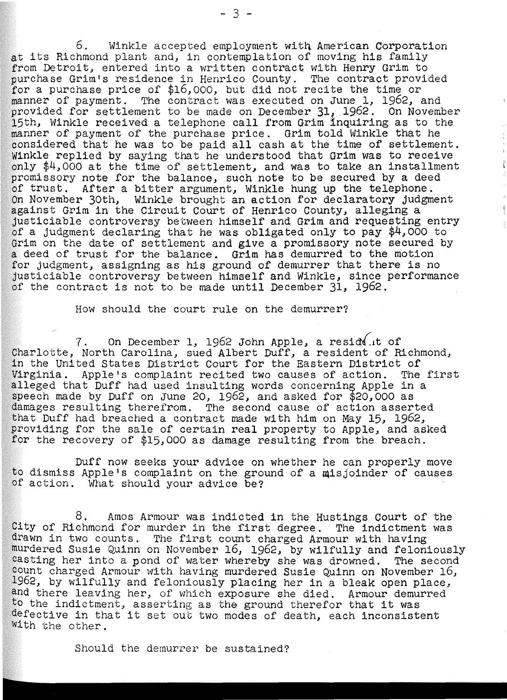6. Winkle accepted employment witn American Corporation at its Richmond plant and, in contemplation of moving his family from Detroit, entered into a written contract with Henry Grim to purchase Grim's residence in Henrico County. The contract provided for a purchase price of \$16,000, but did not recite the time or manner of payment. The contract was executed on June 1, 1962, and provided for settlement to be made on December  $31, 1962$ . On November 15th, Winkle received a telephone call from Grim inquiring as to the manner of payment of the purchase price. Grim told Winkle that he considered that he was to be paid all cash at the time of settlement. Winkle replied by saying that he understood that Grim was to receive only \$4,000 at the time of settlement, and was to take an installment promissory note for the balance, such note to be secured by a deed of trust. After a bitter argument, Winkle hung up the telephone.<br>On November 30th, Winkle brought an action for declaratory judgment against Grim in the Circuit Court of Henrico County, alleging a justiciable controversy between himself and Grim and requesting entry of a judgment declaring that he was obligated only to pay \$4,000 to Grim on the date of settlement and give a promissory note secured by a deed of trust for the balance. Grim has demurred to the motion for judgment, assigning as his ground of demurrer that there is no justiciable controversy between himself and Winkle, since performance of the contract is not to be made until December 31, 1962.

How should the court rule on the demurrer?

 $7.$  On December 1, 1962 John Apple, a resident of Charlotte, North Carolina, sued Albert Duff, a resident of Richmond, in the United States District Court for the Eastern District of Virginia. Apple's complaint recited two causes of action. The first alleged that Duff had used insulting words concerning Apple in a speech made by Duff on June 20, 1962, and asked for  $$20,000$  as damages resulting therefrom. The second cause of action asserted that Duff had breached a contract made with him on May 15, 1962, providing for the sale of certain real property to Apple, and asked for the recovery of \$15,000 as damage resulting from the breach.

Duff now seeks your advice on whether he can properly move to dismiss Apple's complaint on the ground of a misjoinder of causes of action. What should your advice be?

8. Amos Armour was indicted in the Hustings Court of the City of Richmond for murder in the first degree. The indictment was drawn in two counts. The first count charged Armour with having murdered Susie Quinn on November 16, 1962, by wilfully and feloniously casting her into a pond of water whereby she was drowned. The second count charged Armour with having murdered Susie Quinn on November 16, 1962, by wilfully and feloniously placing her in a bleak open place, and there leaving her, of which exposure she died. Armour demurred to the indictment, asserting as the ground therefor that it was defective in that it set out two modes of death, each inconsistent With the other.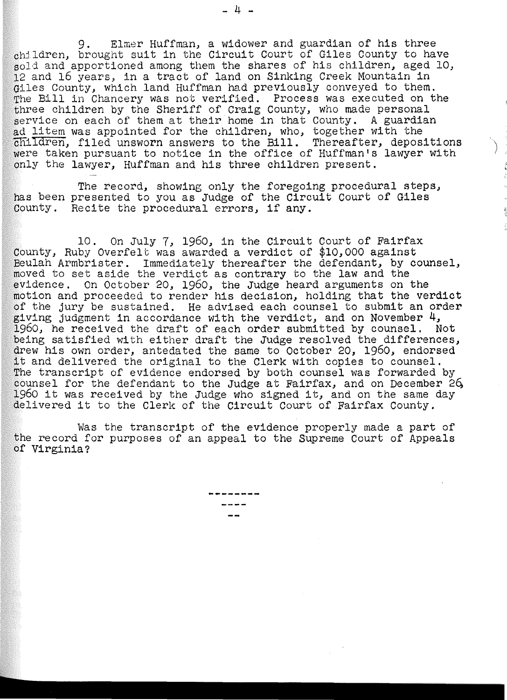9. Elmer Huffman, a widower and guardian of his three children, brought suit in the Circuit Court of Giles County to have sold and apportioned among them the shares of his children, aged 10, 12 and 16 years, in a tract of land on Sinking Creek Mountain in Giles County, which land Huffman had previously conveyed to them. The Bill in Chancery was not verified. Process was executed on the three children by the Sheriff of Craig County, who made personal service on each of them at their home in that County. A guardian ad litem was appointed for the children, who, together with the children, filed unsworn answers to the Bill. Thereafter, depositions were taken pursuant to notice in the office of Huffman's lawyer with only the lawyer, Huffman and his three children present.

The record, showing only the foregoing procedural steps, has been presented to you as Judge of the Circuit Court of Giles County. Recite the procedural errors, if any.

10. On July 7, 1960, in the Circuit Court of Fairfax County, Ruby Overfelt was awarded a verdict of \$10,000 against Beulah Armbrister. Immediately thereafter the defendant, by counsel, moved to set aside the verdict as contrary to the law and the evidence. On October 20, 1960, the Judge heard arguments on the motion and proceeded to render his decision, holding that the verdict of the jury be sustained. He advised each counsel to submit an order giving judgment in accordance with the verdict, and on November 4, 1960, he received the draft of each order submitted by counsel. Not being satisfied with either draft the Judge resolved the differences, drew his own order, antedated the same to October 20, 1960, endorsed it and delivered the original to the Clerk with copies to counsel. The transcript of evidence endorsed by both counsel was forwarded by counsel for the defendant to the Judge at Fairfax, and on December 26 1960 it was received by the Judge who signed it, and on the same day delivered it to the Clerk of the Circuit Court of Fairfax County.

Was the transcript of the evidence properly made a part of the record for purposes of an appeal to the Supreme Court of Appeals of Virginia?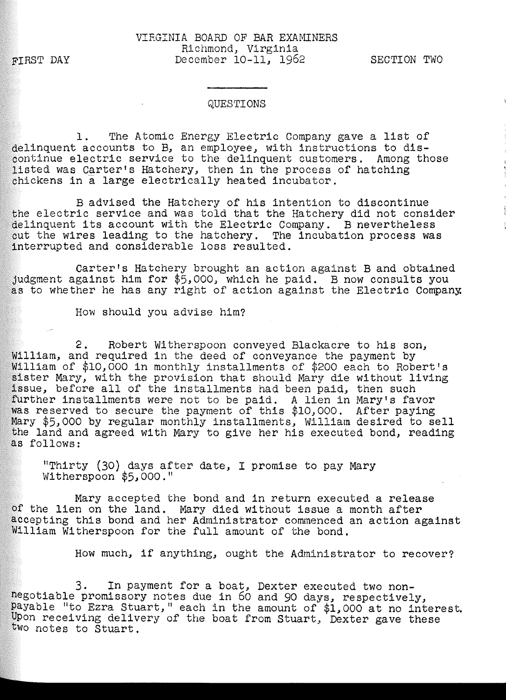FIRST DAY

#### QUESTIONS

1. The Atomic Energy Electric Company gave a list of delinquent accounts to B, an employee, with instructions to discontinue electric service to the delinquent customers. Among those listed was Carter's Hatchery, then in the process of hatching chickens in a large electrically heated incubator.

B advised the Hatchery of his intention to discontinue the electric service and was told that the Hatchery did not consider delinquent its account with the Electric Company. B nevertheless cut the wires leading to the hatchery. The incubation process was interrupted and considerable loss resulted.

carter's Hatchery brought an action against B and obtained judgment against him for \$5,000, which he paid. B now consults you as to whether he has any right of action against the Electric Company.

How should you advise him?

2. Robert Witherspoon conveyed Blackacre to his son, William, and required in the deed of conveyance the payment by William of \$10,000 in monthly installments of \$200 each to Robert's sister Mary, with the provision that should Mary die without living issue, before all of the installments had been paid, then such further installments were not to be paid. A lien in Mary's favor was reserved to secure the payment of this \$10,000. After paying Mary \$5,000 by regular monthly installments, William desired to sell the land and agreed with Mary to give her his executed bond, reading as follows:

"Thirty (30) days after date, I promise to pay Mary Witherspoon  $$5,000."$ 

Mary accepted the bond and in return executed a release of the lien on the land. Mary died without issue a month after accepting this bond and her Administrator commenced an action against William Witherspoon for the full amount of the bond.

How much, if anything, ought the Administrator to recover?

3. In payment for a boat, Dexter executed two nonnegotiable promissory notes due in 60 and 90 days, respectively, payable "to Ezra Stuart," each in the amount of \$1,000 at no interest. Upon receiving delivery of the boat from Stuart; Dexter gave these two notes to Stuart.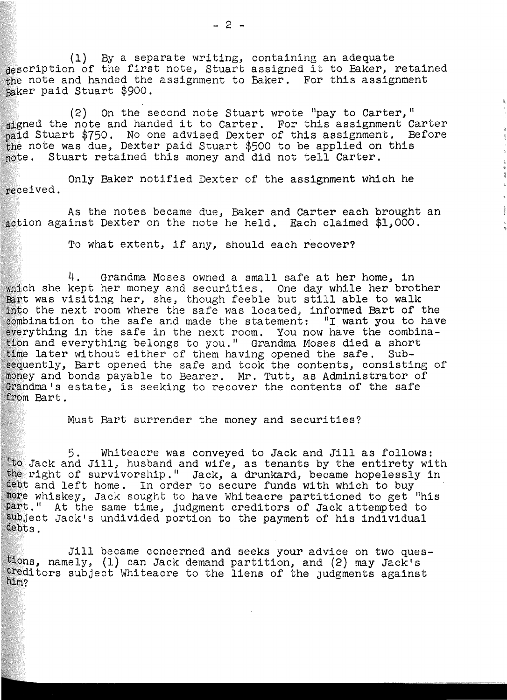(1) By a separate writing, containing an adequate description of the first note, Stuart assigned it to Baker, retained  $the$  note and handed the assignment to Baker. For this assignment paker paid Stuart \$900.

 $(2)$  On the second note Stuart wrote "pay to Carter," signed the note and handed it to Carter. For this assignment Carter paid Stuart \$750. No one advised Dexter of this assignment. Before the note was due, Dexter paid Stuart \$500 to be applied on this note. Stuart retained this money and did not tell Carter.

Only Baker notified Dexter of the assignment which he received.

As the notes became due, Baker and Carter each brought an action against Dexter on the note he held. Each claimed  $$1,000$ .

To what extent, if any, should each recover?

4. Grandma Moses owned a small safe at her home, in which she kept her money and securities. One day while her brother Bart was visiting her, she, though feeble but still able to walk into the next room where the safe was located, informed Bart of the combination to the safe and made the statement: "I want you to have everything in the safe in the next room. You now have the combination and everything belongs to you." Grandma Moses died a short time later without either of them having opened the safe. Subsequently, Bart opened the safe and took the contents, consisting of oney and bonds payable to Bearer. Mr. Tutt, as Administrator of Grandma's estate, is seeking to recover the contents of the safe from Bart.

Must Bart surrender the money and securities?

5. Whiteacre was conveyed to Jack and Jill as follows: "to Jack and Jill, husband and wife, as tenants by the entirety with the right of survivorship." Jack, a drunkard, became hopelessly in debt and left home. In order to secure funds with which to buy more whiskey, Jack sought to have Whiteacre partitioned to get "his part." At the same time, judgment creditors of Jack attempted to subject Jack's undivided portion to the payment of his individual debts.

Jill became concerned and seeks your advice on two ques-<br>tions, namely, (1) can Jack demand partition, and (2) may Jack's creditors subject Whiteacre to the liens of the judgments against him?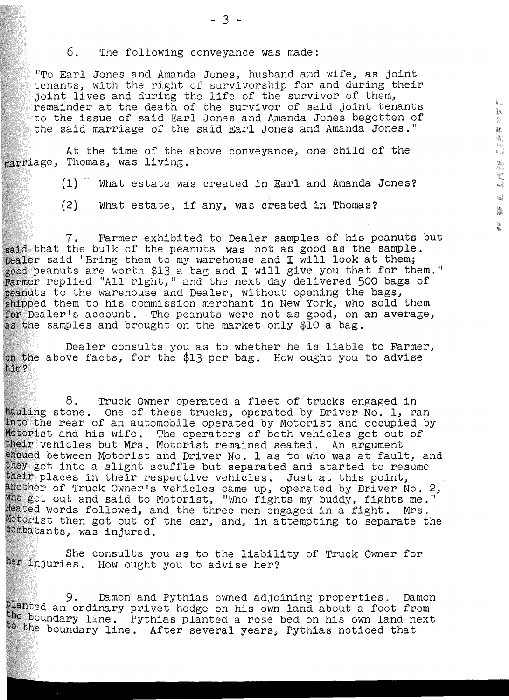6. The following conveyance was made:

"To Earl Jones and Amanda Jones, husband and wife, as joint tenants, with the right of survivorship for and during their joint lives and during the life of the survivor of them, remainder at the death of the survivor of said joint tenants to the issue of said Earl Jones and Amanda Jones begotten of the said marriage of the said Earl Jones and Amanda Jones."

 $k_{\rm th}$ 

一個 地面

ka<br>Vas  $\mathbb{R}^n$  $\overrightarrow{w}$  $\epsilon_{\rm{eff}}$ 隐 lba<br>Mo

At the time of the above conveyance, one child of the marriage, Thomas, was living.

(1) What estate was created in Earl and Amanda Jones?

(2) What estate, if any, was created in Thomas?

7. Farmer exhibited to Dealer samples of his peanuts but said that the bulk of the peanuts was not as good as the sample. Dealer said "Bring them to my warehouse and I will look at them; od peanuts are worth \$13 a bag and I will give you that for them." rmer replied "All right," and the next day delivered 500 bags of peanuts to the warehouse and Dealer, without opening the bags, shipped them to his commission merchant in New York, who sold them for Dealer's account. The peanuts were not as good, on an average, the samples and brought on the market only \$10 a bag.

Dealer consults you as to whether he is liable to Farmer, on the above facts, for the \$13 per bag. How ought you to advise him?

8. Truck Owner operated a fleet of trucks engaged in ling stone. One of these trucks, operated by Driver No. 1, ran into the rear of an automobile operated by Motorist and occupied by Motorist and his wife. The operators of both vehicles got out of their vehicles but Mrs. Motorist remained seated. An argument ued between Motorist and Driver No. 1 as to who was at fault, and y got into a slight scuffle but separated and started to resume ir places in their respective vehicles. Just at this point, ther of Truck Owner's vehicles came up, operated by Driver No. 2, got out and said to Motorist, "Who fights my buddy, fights me." Heated words followed, and the three men engaged in a fight. Mrs. Motorist then got out of the car, and, in attempting to separate the combatants, was injured.

She consults you as to the liability of Truck Owner for her injuries. How ought you to advise her?

9. Damon and Pythias owned adjoining properties. Damon planted an ordinary privet hedge on his own land about a foot from boundary line. Pythias planted a rose bed on his own land next to the boundary line. After several years, Pythias noticed that